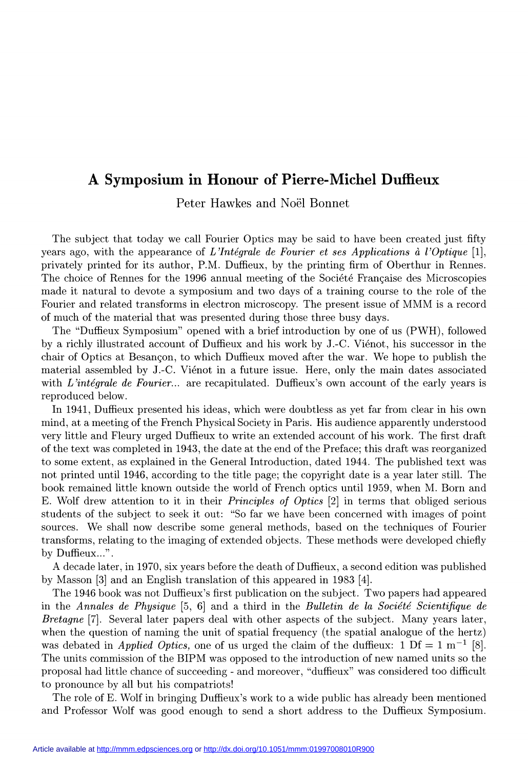# A Symposium in Honour of Pierre-Michel Duffieux

Peter Hawkes and Noël Bonnet

The subject that today we call Fourier Optics may be said to have been created just fifty years ago, with the appearance of L'Intégrale de Fourier et ses Applications à l'Optique [1], privately printed for its author, P.M. Duffieux, by the printing firm of Oberthur in Rennes. The choice of Rennes for the 1996 annual meeting of the Société Française des Microscopies made it natural to devote a symposium and two days of a training course to the role of the Fourier and related transforms in electron microscopy. The present issue of MMM is a record of much of the material that was presented during those three busy days.

The "Duffieux Symposium" opened with a brief introduction by one of us (PWH), followed by a richly illustrated account of Duffieux and his work by J.-C. Viénot, his successor in the chair of Optics at Besançon, to which Duffieux moved after the war. We hope to publish the material assembled by J.-C. Viénot in a future issue. Here, only the main dates associated with L'intégrale de Fourier... are recapitulated. Duffieux's own account of the early years is reproduced below.

In 1941, Duffieux presented his ideas, which were doubtless as yet far from clear in his own mind, at a meeting of the French Physical Society in Paris. His audience apparently understood very little and Fleury urged Duffieux to write an extended account of his work. The first draft of the text was completed in 1943, the date at the end of the Preface; this draft was reorganized to some extent, as explained in the General Introduction, dated 1944. The published text was not printed until 1946, according to the title page; the copyright date is a year later still. The book remained little known outside the world of French optics until 1959, when M. Born and E. Wolf drew attention to it in their Principles of Optics [2] in terms that obliged serious students of the subject to seek it out: "So far we have been concerned with images of point sources. We shall now describe some general methods, based on the techniques of Fourier transforms, relating to the imaging of extended objects. These methods were developed chiefly by Duffieux...".

A decade later, in 1970, six years before the death of Duffieux, a second edition was published by Masson [3] and an English translation of this appeared in 1983 [4].

The 1946 book was not Duffieux's first publication on the subject. Two papers had appeared in the Annales de Physique  $[5, 6]$  and a third in the Bulletin de la Société Scientifique de Bretagne [7]. Several later papers deal with other aspects of the subject. Many years later, when the question of naming the unit of spatial frequency (the spatial analogue of the hertz) was debated in *Applied Optics*, one of us urged the claim of the duffieux:  $1 \text{ Df} = 1 \text{ m}^{-1}$  [8]. The units commission of the BIPM was opposed to the introduction of new named units so the proposal had little chance of succeeding - and moreover, "duffieux" was considered too difficult to pronounce by all but his compatriots!

The role of E. Wolf in bringing Duffieux's work to a wide public has already been mentioned and Professor Wolf was good enough to send a short address to the Duffieux Symposium.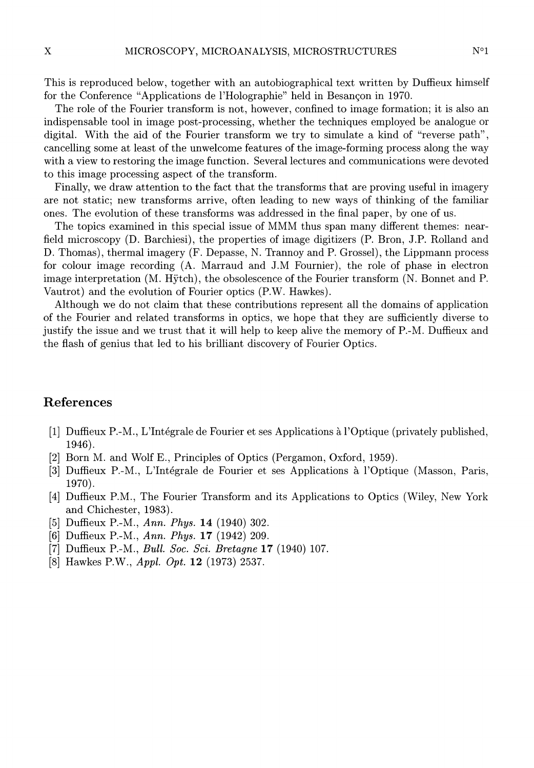This is reproduced below, together with an autobiographical text written by Duffieux himself for the Conference "Applications de l'Holographie" held in Besançon in 1970.

The role of the Fourier transform is not, however, confined to image formation; it is also an indispensable tool in image post-processing, whether the techniques employed be analogue or digital. With the aid of the Fourier transform we try to simulate a kind of "reverse path", cancelling some at least of the unwelcome features of the image-forming process along the way with a view to restoring the image function. Several lectures and communications were devoted to this image processing aspect of the transform.

Finally, we draw attention to the fact that the transforms that are proving useful in imagery are not static; new transforms arrive, often leading to new ways of thinking of the familiar ones. The evolution of these transforms was addressed in the final paper, by one of us.

The topics examined in this special issue of MMM thus span many différent themes: nearfield microscopy (D. Barchiesi), the properties of image digitizers (P. Bron, J.P. Rolland and D. Thomas), thermal imagery (F. Depasse, N. Trannoy and P. Grossel), the Lippmann process for colour image recording (A. Marraud and J.M Fournier), the role of phase in electron image interpretation (M. Hÿtch), the obsolescence of the Fourier transform (N. Bonnet and P. Vautrot) and the evolution of Fourier optics (P.W. Hawkes).

Although we do not claim that these contributions represent all the domains of application of the Fourier and related transforms in optics, we hope that they are sufficiently diverse to justify the issue and we trust that it will help to keep alive the memory of P.-M. Duffieux and the flash of genius that led to his brilliant discovery of Fourier Optics.

#### References

- [1] Duffieux P.-M., L'Intégrale de Fourier et ses Applications à l'Optique (privately published, 1946) .
- [2] Born M. and Wolf E., Principles of Optics (Pergamon, Oxford, 1959).
- [3] Duffieux P.-M., L'Intégrale de Fourier et ses Applications à l'Optique (Masson, Paris, 1970).
- [4] Duffieux P.M., The Fourier Transform and its Applications to Optics (Wiley, New York and Chichester, 1983).
- [5] Duffieux P.-M., Ann. Phys. 14 (1940) 302.
- [6] Duffieux P.-M., Ann. Phys. 17 (1942) 209.
- [7] Duffieux P.-M., Bull. Soc. Sci. Bretagne 17 (1940) 107.
- [8] Hawkes P.W., Appl. Opt. 12 (1973) 2537.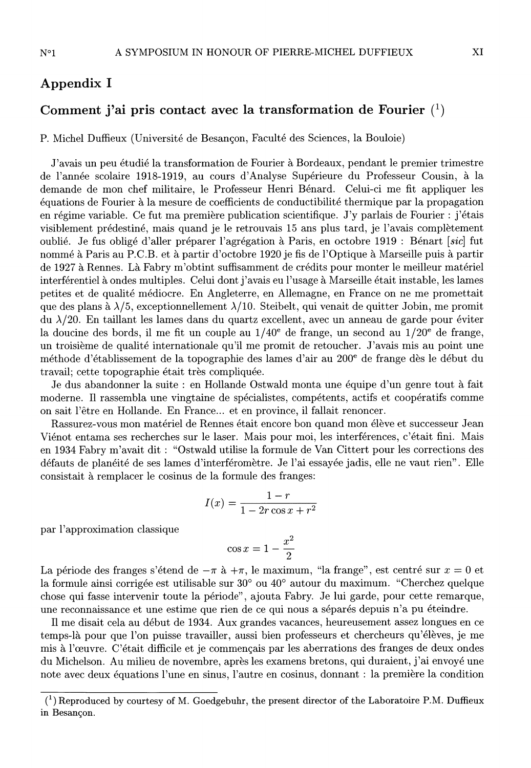## Appendix 1

### Comment j'ai pris contact avec la transformation de Fourier  $(1)$

P. Michel Duffieux (Université de Besançon, Faculté des Sciences, la Bouloie)

J'avais un peu étudié la transformation de Fourier à Bordeaux, pendant le premier trimestre de l'année scolaire 1918-1919, au cours d'Analyse Supérieure du Professeur Cousin, à la demande de mon chef militaire, le Professeur Henri Bénard. Celui-ci me fit appliquer les en régime variable. Ce fut ma première publication scientifique. J'y parlais de Fourier : j'étais visiblement prédestiné, mais quand je le retrouvais 15 ans plus tard, je l'avais complètement oublié. Je fus obligé d'aller préparer l'agrégation à Paris, en octobre 1919 : Bénart [sic] fut nommé à Paris au P.C.B. et à partir d'octobre 1920 je fis de l'Optique à Marseille puis à partir de 1927 à Rennes. Là Fabry m'obtint suffisamment de crédits pour monter le meilleur matériel interférentiel à ondes multiples. Celui dont j'avais eu l'usage à Marseille était instable, les lames petites et de qualité médiocre. En Angleterre, en Allemagne, en France on ne me promettait que des plans à  $\lambda/5$ , exceptionnellement  $\lambda/10$ . Steibelt, qui venait de quitter Jobin, me promit du  $\lambda/20$ . En taillant les lames dans du quartz excellent, avec un anneau de garde pour éviter la doucine des bords, il me fit un couple au  $1/40^e$  de frange, un second au  $1/20^e$  de frange, un troisième de qualité internationale qu'il me promit de retoucher. J'avais mis au point une méthode d'établissement de la topographie des lames d'air au 200e de frange dès le début du travail; cette topographie était très compliquée.

Je dus abandonner la suite : en Hollande Ostwald monta une équipe d'un genre tout à fait moderne. Il rassembla une vingtaine de spécialistes, compétents, actifs et coopératifs comme on sait l'être en Hollande. En France... et en province, il fallait renoncer.

Rassurez-vous mon matériel de Rennes était encore bon quand mon élève et successeur Jean Viénot entama ses recherches sur le laser. Mais pour moi, les interférences, c'était fini. Mais en 1934 Fabry m'avait dit : "Ostwald utilise la formule de Van Cittert pour les corrections des défauts de planéité de ses lames d'interféromètre. Je l'ai essayée jadis, elle ne vaut rien". Elle consistait à remplacer le cosinus de la formule des franges:

$$
I(x) = \frac{1-r}{1-2r\cos x + r^2}
$$

par l'approximation classique

$$
\cos x = 1 - \frac{x^2}{2}
$$

La période des franges s'étend de  $-\pi$  à  $+\pi$ , le maximum, "la frange", est centré sur  $x = 0$  et la formule ainsi corrigée est utilisable sur 30° ou 40° autour du maximum. "Cherchez quelque chose qui fasse intervenir toute la période", ajouta Fabry. Je lui garde, pour cette remarque, une reconnaissance et une estime que rien de ce qui nous a séparés depuis n'a pu éteindre.

Il me disait cela au début de 1934. Aux grandes vacances, heureusement assez longues en ce temps-là pour que l'on puisse travailler, aussi bien professeurs et chercheurs qu'élèves, je me mis à l'œuvre. C'était difficile et je commençais par les aberrations des franges de deux ondes du Michelson. Au milieu de novembre, après les examens bretons, qui duraient, j'ai envoyé une note avec deux équations l'une en sinus, l'autre en cosinus, donnant : la première la condition

 $<sup>(1)</sup>$  Reproduced by courtesy of M. Goedgebuhr, the present director of the Laboratoire P.M. Duffieux</sup> in Besançon.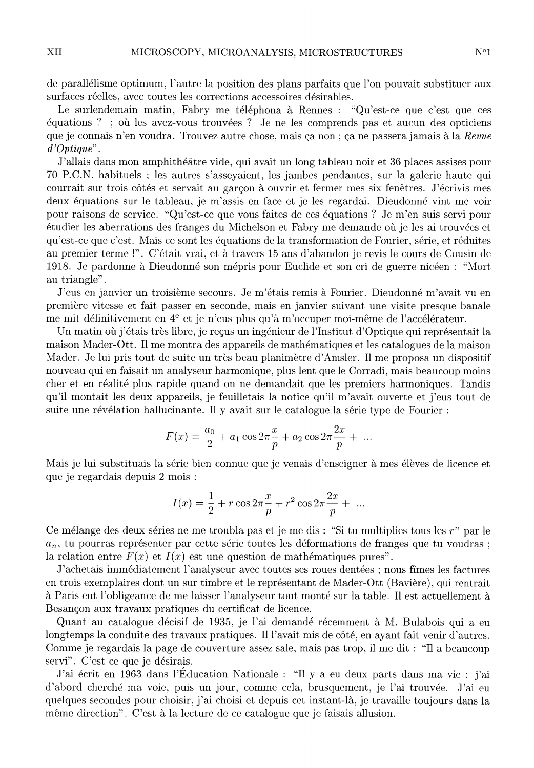de parallélisme optimum, l'autre la position des plans parfaits que l'on pouvait substituer aux

surfaces réelles, avec toutes les corrections accessoires désirables. Le surlendemain matin, Fabry me téléphona à Rennes : "Qu'est-ce que c'est que ces équations ? ; ;où les avez-vous trouvées ? Je ne les comprends pas et aucun des opticiens que je connais n'en voudra. Trouvez autre chose, mais ça non ; ça ne passera jamais à la Revue d'Optique" .

J'allais dans mon amphithéâtre vide, qui avait un long tableau noir et 36 places assises pour 70 P.C.N. habituels ; les autres s'asseyaient, les jambes pendantes, sur la galerie haute qui courrait sur trois côtés et servait au garçon à ouvrir et fermer mes six fenêtres. J'écrivis mes deux équations sur le tableau, je m'assis en face et je les regardai. Dieudonné vint me voir pour raisons de service. "Qu'est-ce que vous faites de ces équations ? Je m'en suis servi pour étudier les aberrations des franges du Michelson et Fabry me demande où je les ai trouvées et qu'est-ce que c'est. Mais ce sont les équations de la transformation de Fourier, série, et réduites au premier terme !". C'était vrai, et à travers 15 ans d'abandon je revis le cours de Cousin de 1918. Je pardonne à Dieudonné son mépris pour Euclide et son cri de guerre nicéen : "Mort au triangle" .

J'eus en janvier un troisième secours. Je m'étais remis à Fourier. Dieudonné m'avait vu en première vitesse et fait passer en seconde, mais en janvier suivant une visite presque banale me mit définitivement en 4<sup>e</sup> et je n'eus plus qu'à m'occuper moi-même de l'accélérateur.

Un matin où j'étais très libre, je reçus un ingénieur de l'Institut d'Optique qui représentait la maison Mader-Ott. Il me montra des appareils de mathématiques et les catalogues de la maison Mader. Je lui pris tout de suite un très beau planimètre d'Amsler. Il me proposa un dispositif nouveau qui en faisait un analyseur harmonique, plus lent que le Corradi, mais beaucoup moins cher et en réalité plus rapide quand on ne demandait que les premiers harmoniques. Tandis qu'il montait les deux appareils, je feuilletais la notice qu'il m'avait ouverte et j'eus tout de suite une révélation hallucinante. Il y avait sur le catalogue la série type de Fourier :

$$
F(x) = \frac{a_0}{2} + a_1 \cos 2\pi \frac{x}{p} + a_2 \cos 2\pi \frac{2x}{p} + \dots
$$

Mais je lui substituais la série bien connue que je venais d'enseigner à mes élèves de licence et que je regardais depuis 2 mois :

$$
I(x) = \frac{1}{2} + r \cos 2\pi \frac{x}{p} + r^2 \cos 2\pi \frac{2x}{p} + \dots
$$

Ce mélange des deux séries ne me troubla pas et je me dis : "Si tu multiplies tous les  $r^n$  par le  $a_n$ , tu pourras représenter par cette série toutes les déformations de franges que tu voudras ; la relation entre  $F(x)$  et  $I(x)$  est une question de mathématiques pures".

J'achetais immédiatement l'analyseur avec toutes ses roues dentées ; nous fîmes les factures en trois exemplaires dont un sur timbre et le représentant de Mader-Ott (Bavière), qui rentrait à Paris eut l'obligeance de me laisser l'analyseur tout monté sur la table. Il est actuellement à Besançon aux travaux pratiques du certificat de licence.

Quant au catalogue décisif de 1935, je l'ai demandé récemment à M. Bulabois qui a eu longtemps la conduite des travaux pratiques. Il l'avait mis de côté, en ayant fait venir d'autres. Comme je regardais la page de couverture assez sale, mais pas trop, il me dit : "Il a beaucoup servi". C'est ce que je désirais.

J'ai écrit en 1963 dans l'Education Nationale : "Il y a eu deux parts dans ma vie : j'ai d'abord cherché ma voie, puis un jour, comme cela, brusquement, je l'ai trouvée. J'ai eu quelques secondes pour choisir, j'ai choisi et depuis cet instant-là, je travaille toujours dans la même direction". C'est à la lecture de ce catalogue que je faisais allusion.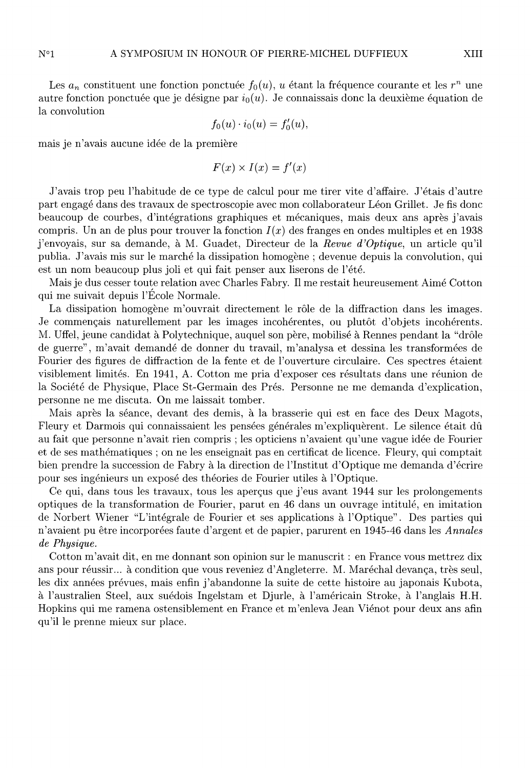Les  $a_n$  constituent une fonction ponctuée  $f_0(u)$ , u étant la fréquence courante et les  $r^n$  une autre fonction ponctuée que je désigne par  $i_0(u)$ . Je connaissais donc la deuxième équation de la convolution

$$
f_0(u) \cdot i_0(u) = f'_0(u),
$$

mais je n'avais aucune idée de la première

$$
F(x) \times I(x) = f'(x)
$$

J'avais trop peu l'habitude de ce type de calcul pour me tirer vite d'affaire. J'étais d'autre part engagé dans des travaux de spectroscopie avec mon collaborateur Léon Grillet. Je fis donc beaucoup de courbes, d'intégrations graphiques et mécaniques, mais deux ans après j'avais compris. Un an de plus pour trouver la fonction  $I(x)$  des franges en ondes multiples et en 1938 j'envoyais, sur sa demande, à M. Guadet, Directeur de la Revue d'Optique, un article qu'il publia. J'avais mis sur le marché la dissipation homogène ; devenue depuis la convolution, qui est un nom beaucoup plus joli et qui fait penser aux liserons de l'été.

Mais je dus cesser toute relation avec Charles Fabry. Il me restait heureusement Aimé Cotton qui me suivait depuis l'Ecole Normale.

La dissipation homogène m'ouvrait directement le rôle de la diffraction dans les images. Je commençais naturellement par les images incohérentes, ou plutôt d'objets incohérents. M. Uffel, jeune candidat à Polytechnique, auquel son père, mobilisé à Rennes pendant la "drôle de guerre", m'avait demandé de donner du travail, m'analysa et dessina les transformées de Fourier des figures de diffraction de la fente et de l'ouverture circulaire. Ces spectres étaient visiblement limités. En 1941, A. Cotton me pria d'exposer ces résultats dans une réunion de la Société de Physique, Place St-Germain des Prés. Personne ne me demanda d'explication, personne ne me discuta. On me laissait tomber.

Mais après la séance, devant des demis, à la brasserie qui est en face des Deux Magots, Fleury et Darmois qui connaissaient les pensées générales m'expliquèrent. Le silence était dû au fait que personne n'avait rien compris ; les opticiens n'avaient qu'une vague idée de Fourier et de ses mathématiques ; on ne les enseignait pas en certificat de licence. Fleury, qui comptait bien prendre la succession de Fabry à la direction de l'Institut d'Optique me demanda d'écrire pour ses ingénieurs un exposé des théories de Fourier utiles à l'Optique.

Ce qui, dans tous les travaux, tous les aperçus que j'eus avant 1944 sur les prolongements optiques de la transformation de Fourier, parut en 46 dans un ouvrage intitulé, en imitation de Norbert Wiener "L'intégrale de Fourier et ses applications à l'Optique". Des parties qui n'avaient pu être incorporées faute d'argent et de papier, parurent en 1945-46 dans les Annales de Physique.

Cotton m'avait dit, en me donnant son opinion sur le manuscrit : en France vous mettrez dix ans pour réussir... à condition que vous reveniez d'Angleterre. M. Maréchal devança, très seul, les dix années prévues, mais enfin j'abandonne la suite de cette histoire au japonais Kubota, à l'australien Steel, aux suédois Ingelstam et Djurle, à l'américain Stroke, à l'anglais H.H. Hopkins qui me ramena ostensiblement en France et m'enleva Jean Viénot pour deux ans afin qu'il le prenne mieux sur place.